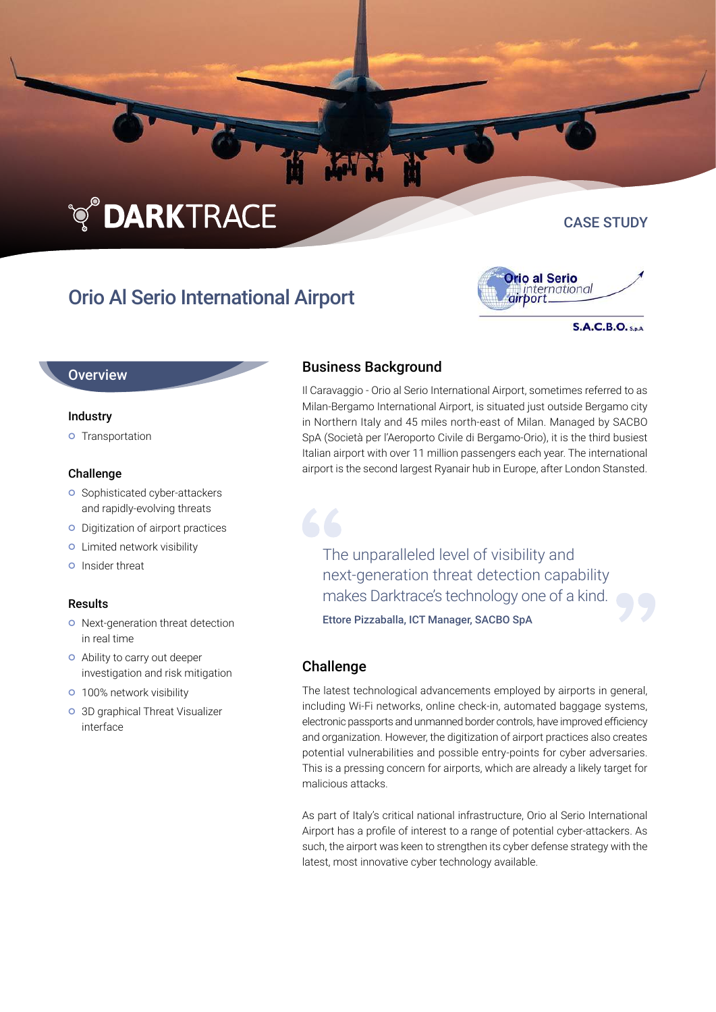# **TO DARKTRACE**

# Orio Al Serio International Airport



**S.A.C.B.O.** S.p.A.

CASE STUDY

### **Overview**

#### Industry

**o** Transportation

#### Challenge

- **o** Sophisticated cyber-attackers and rapidly-evolving threats
- o Digitization of airport practices
- **o** Limited network visibility
- **O** Insider threat

#### Results

- o Next-generation threat detection in real time
- Ability to carry out deeper investigation and risk mitigation
- **o** 100% network visibility
- 3D graphical Threat Visualizer interface

# Business Background

Il Caravaggio - Orio al Serio International Airport, sometimes referred to as Milan-Bergamo International Airport, is situated just outside Bergamo city in Northern Italy and 45 miles north-east of Milan. Managed by SACBO SpA (Società per l'Aeroporto Civile di Bergamo-Orio), it is the third busiest Italian airport with over 11 million passengers each year. The international airport is the second largest Ryanair hub in Europe, after London Stansted.

The unparalleled level of visibility and next-generation threat detection capability makes Darktrace's technology one of a kind.

Ettore Pizzaballa, ICT Manager, SACBO SpA

## **Challenge**

The latest technological advancements employed by airports in general, including Wi-Fi networks, online check-in, automated baggage systems, electronic passports and unmanned border controls, have improved efficiency and organization. However, the digitization of airport practices also creates potential vulnerabilities and possible entry-points for cyber adversaries. This is a pressing concern for airports, which are already a likely target for malicious attacks.

As part of Italy's critical national infrastructure, Orio al Serio International Airport has a profile of interest to a range of potential cyber-attackers. As such, the airport was keen to strengthen its cyber defense strategy with the latest, most innovative cyber technology available.